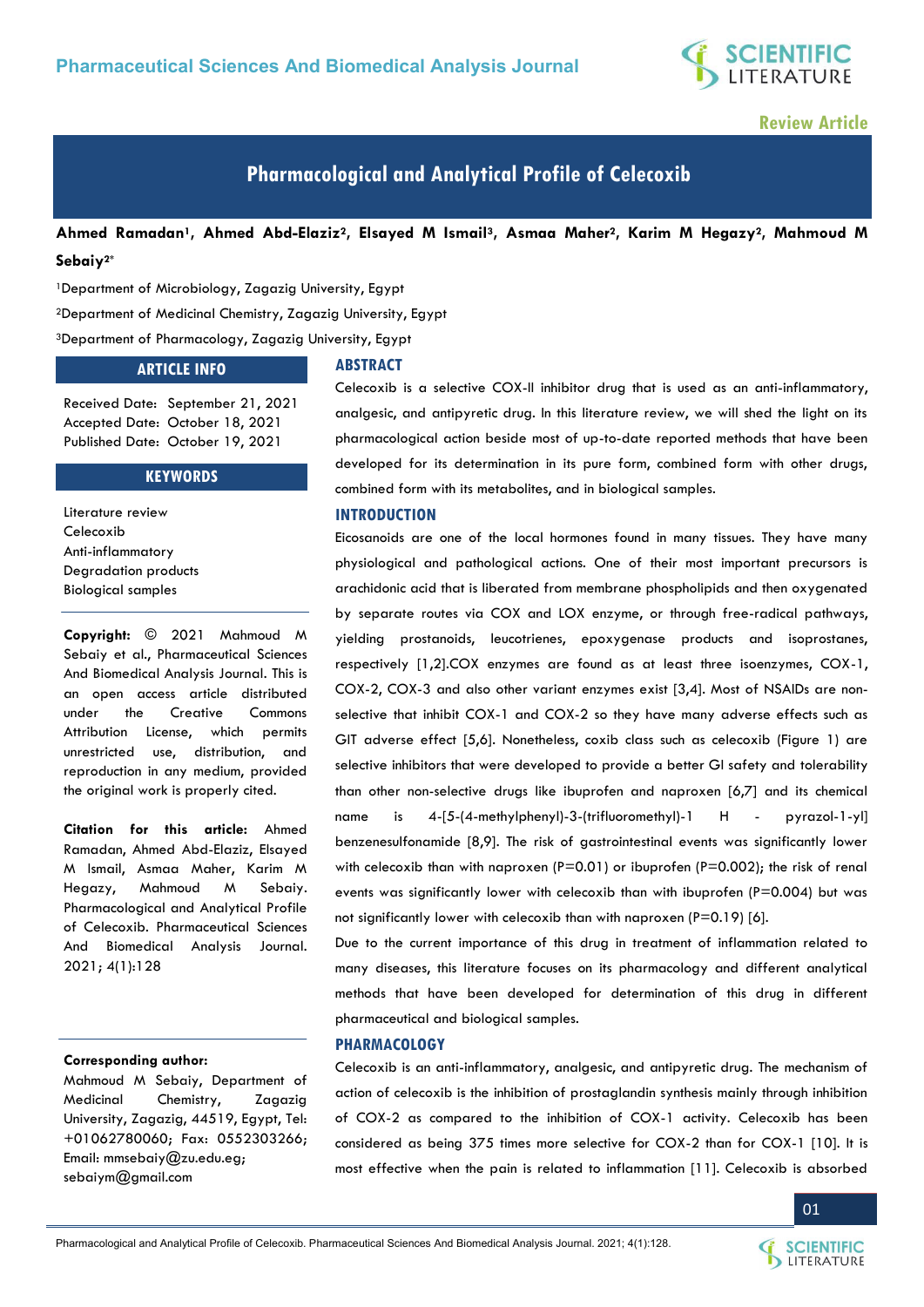

## **Review Article**

# **Pharmacological and Analytical Profile of Celecoxib**

**Ahmed Ramadan1, Ahmed Abd-Elaziz2, Elsayed M Ismail3, Asmaa Maher2, Karim M Hegazy2, Mahmoud M Sebaiy2\***

<sup>1</sup>Department of Microbiology, Zagazig University, Egypt <sup>2</sup>Department of Medicinal Chemistry, Zagazig University, Egypt <sup>3</sup>Department of Pharmacology, Zagazig University, Egypt

#### **ARTICLE INFO**

Received Date: September 21, 2021 Accepted Date: October 18, 2021 Published Date: October 19, 2021

#### **KEYWORDS**

Literature review Celecoxib Anti-inflammatory Degradation products Biological samples

**Copyright:** © 2021 Mahmoud M Sebaiy et al., Pharmaceutical Sciences And Biomedical Analysis Journal. This is an open access article distributed under the Creative Commons Attribution License, which permits unrestricted use, distribution, and reproduction in any medium, provided the original work is properly cited.

**Citation for this article:** Ahmed Ramadan, Ahmed Abd-Elaziz, Elsayed M Ismail, Asmaa Maher, Karim M Hegazy, Mahmoud M Sebaiy. Pharmacological and Analytical Profile of Celecoxib. Pharmaceutical Sciences And Biomedical Analysis Journal. 2021; 4(1):128

#### **Corresponding author:**

Mahmoud M Sebaiy, Department of Medicinal Chemistry, Zagazig University, Zagazig, 44519, Egypt, Tel: +01062780060; Fax: 0552303266; Email: [mmsebaiy@zu.edu.eg;](mailto:mmsebaiy@zu.edu.eg) [sebaiym@gmail.com](mailto:sebaiym@gmail.com) 

#### **ABSTRACT**

Celecoxib is a selective COX-II inhibitor drug that is used as an anti-inflammatory, analgesic, and antipyretic drug. In this literature review, we will shed the light on its pharmacological action beside most of up-to-date reported methods that have been developed for its determination in its pure form, combined form with other drugs, combined form with its metabolites, and in biological samples.

#### **INTRODUCTION**

Eicosanoids are one of the local hormones found in many tissues. They have many physiological and pathological actions. One of their most important precursors is arachidonic acid that is liberated from membrane phospholipids and then oxygenated by separate routes via COX and LOX enzyme, or through free-radical pathways, yielding prostanoids, leucotrienes, epoxygenase products and isoprostanes, respectively [1,2].COX enzymes are found as at least three isoenzymes, COX-1, COX-2, COX-3 and also other variant enzymes exist [3,4]. Most of NSAIDs are nonselective that inhibit COX-1 and COX-2 so they have many adverse effects such as GIT adverse effect [5,6]. Nonetheless, coxib class such as celecoxib (Figure 1) are selective inhibitors that were developed to provide a better GI safety and tolerability than other non-selective drugs like ibuprofen and naproxen [6,7] and its chemical name is 4-[5-(4-methylphenyl)-3-(trifluoromethyl)-1 H - pyrazol-1-yl] benzenesulfonamide [8,9]. The risk of gastrointestinal events was significantly lower with celecoxib than with naproxen (P=0.01) or ibuprofen (P=0.002); the risk of renal events was significantly lower with celecoxib than with ibuprofen (P=0.004) but was not significantly lower with celecoxib than with naproxen (P=0.19) [6].

Due to the current importance of this drug in treatment of inflammation related to many diseases, this literature focuses on its pharmacology and different analytical methods that have been developed for determination of this drug in different pharmaceutical and biological samples.

#### **PHARMACOLOGY**

Celecoxib is an anti-inflammatory, analgesic, and antipyretic drug. The mechanism of action of celecoxib is the inhibition of prostaglandin synthesis mainly through inhibition of COX-2 as compared to the inhibition of COX-1 activity. Celecoxib has been considered as being 375 times more selective for COX-2 than for COX-1 [10]. It is most effective when the pain is related to inflammation [11]. Celecoxib is absorbed

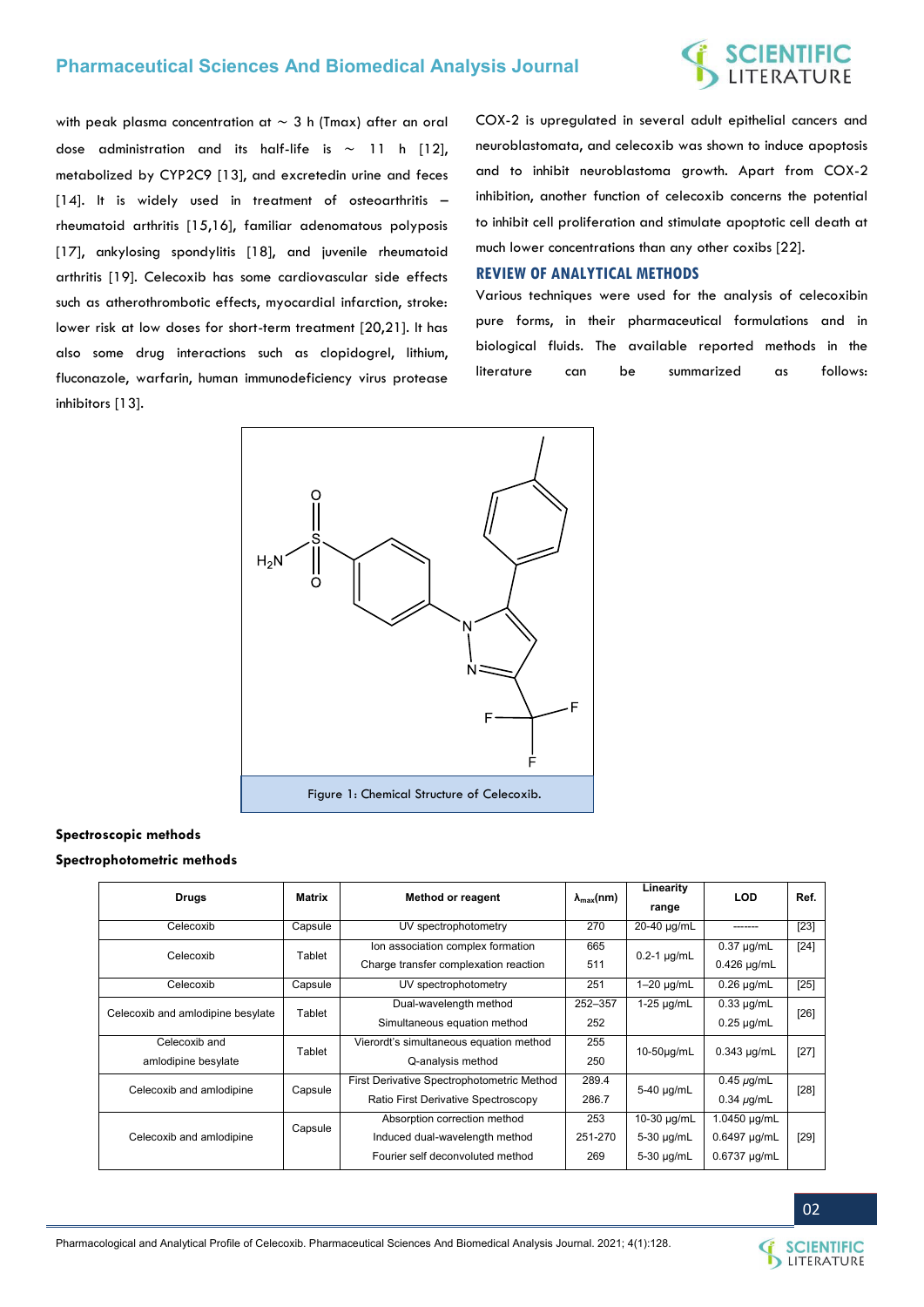# **SCIENTIFIC**<br>LITERATURE

with peak plasma concentration at ∼ 3 h (Tmax) after an oral dose administration and its half-life is ∼ 11 h [12], metabolized by CYP2C9 [13], and excretedin urine and feces [14]. It is widely used in treatment of osteoarthritis – rheumatoid arthritis [15,16], familiar adenomatous polyposis [17], ankylosing spondylitis [18], and juvenile rheumatoid arthritis [19]. Celecoxib has some cardiovascular side effects such as atherothrombotic effects, myocardial infarction, stroke: lower risk at low doses for short-term treatment [20,21]. It has also some drug interactions such as clopidogrel, lithium, fluconazole, warfarin, human immunodeficiency virus protease inhibitors [13].

COX-2 is upregulated in several adult epithelial cancers and neuroblastomata, and celecoxib was shown to induce apoptosis and to inhibit neuroblastoma growth. Apart from COX-2 inhibition, another function of celecoxib concerns the potential to inhibit cell proliferation and stimulate apoptotic cell death at much lower concentrations than any other coxibs [22].

#### **REVIEW OF ANALYTICAL METHODS**

Various techniques were used for the analysis of celecoxibin pure forms, in their pharmaceutical formulations and in biological fluids. The available reported methods in the literature can be summarized as follows:



#### **Spectroscopic methods**

#### **Spectrophotometric methods**

| <b>Drugs</b>                      | Matrix  | <b>Method or reagent</b>                   | $\lambda_{\text{max}}(nm)$ | Linearity<br>range      | <b>LOD</b>        | Ref.   |
|-----------------------------------|---------|--------------------------------------------|----------------------------|-------------------------|-------------------|--------|
| Celecoxib                         | Capsule | UV spectrophotometry                       | 270                        | 20-40 µg/mL             | -------           | $[23]$ |
| Celecoxib                         | Tablet  | Ion association complex formation          | 665                        | $0.2-1$ µg/mL           | $0.37 \mu g/mL$   | $[24]$ |
|                                   |         | Charge transfer complexation reaction      | 511                        |                         | $0.426$ µg/mL     |        |
| Celecoxib                         | Capsule | UV spectrophotometry                       | 251                        | $\overline{1-20}$ µg/mL | $0.26 \mu g/mL$   | $[25]$ |
| Celecoxib and amlodipine besylate | Tablet  | Dual-wavelength method                     | 252-357                    | 1-25 µg/mL              | $0.33 \mu g/mL$   |        |
|                                   |         | Simultaneous equation method               | 252                        |                         | $0.25 \mu g/mL$   | $[26]$ |
| Celecoxib and                     | Tablet  | Vierordt's simultaneous equation method    | 255                        | 10-50µg/mL              | $0.343 \mu q/mL$  | $[27]$ |
| amlodipine besylate               |         | Q-analysis method                          | 250                        |                         |                   |        |
| Celecoxib and amlodipine          | Capsule | First Derivative Spectrophotometric Method | 289.4                      | 5-40 µg/mL              | $0.45 \mu$ g/mL   | $[28]$ |
|                                   |         | Ratio First Derivative Spectroscopy        | 286.7                      |                         | $0.34 \mu q/mL$   |        |
| Celecoxib and amlodipine          | Capsule | Absorption correction method               | 253                        | 10-30 µg/mL             | 1.0450 µg/mL      |        |
|                                   |         | Induced dual-wavelength method             | 251-270                    | 5-30 µg/mL              | 0.6497 µg/mL      | $[29]$ |
|                                   |         | Fourier self deconvoluted method           | 269                        | 5-30 µg/mL              | $0.6737 \mu q/mL$ |        |

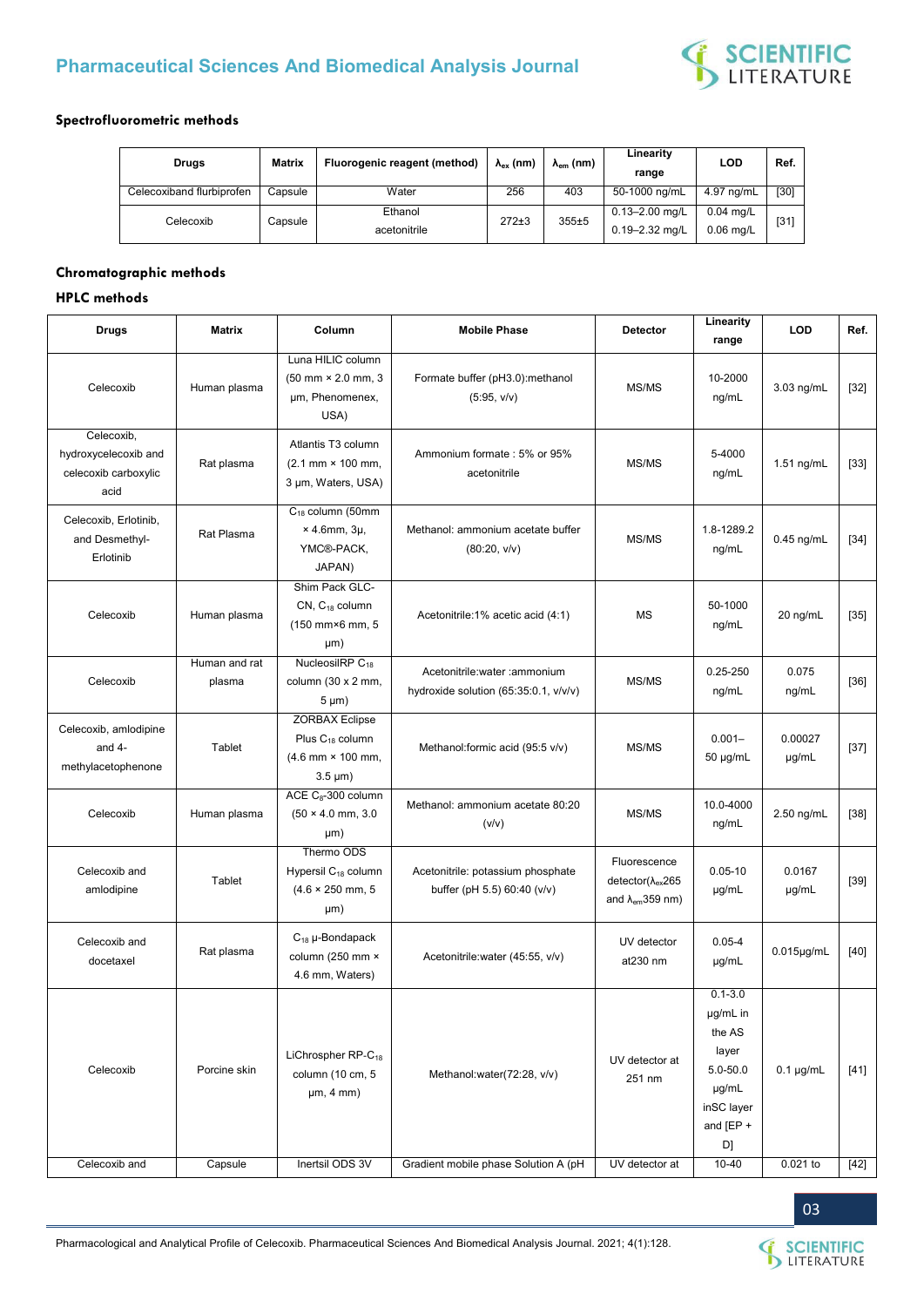

#### **Spectrofluorometric methods**

| Drugs                     | Matrix  | Fluorogenic reagent (method) | $\lambda_{\rm ex}$ (nm) | $\lambda_{em}$ (nm) | Linearity<br>range                       | LOD                        | Ref.   |
|---------------------------|---------|------------------------------|-------------------------|---------------------|------------------------------------------|----------------------------|--------|
| Celecoxiband flurbiprofen | Capsule | Water                        | 256                     | 403                 | 50-1000 ng/mL                            | 4.97 ng/mL                 | $[30]$ |
| Celecoxib                 | Capsule | Ethanol<br>acetonitrile      | $272+3$                 | $355+5$             | $0.13 - 2.00$ mg/L<br>$0.19 - 2.32$ mg/L | $0.04$ mg/L<br>$0.06$ mg/L | $[31]$ |

#### **Chromatographic methods**

### **HPLC methods**

| <b>Drugs</b>                                                       | <b>Matrix</b>           | Column                                                                                         | <b>Mobile Phase</b>                                                     | <b>Detector</b>                                                            | Linearity<br>range                                                                                 | LOD              | Ref.   |
|--------------------------------------------------------------------|-------------------------|------------------------------------------------------------------------------------------------|-------------------------------------------------------------------------|----------------------------------------------------------------------------|----------------------------------------------------------------------------------------------------|------------------|--------|
| Celecoxib                                                          | Human plasma            | Luna HILIC column<br>$(50 \, \text{mm} \times 2.0 \, \text{mm}, 3)$<br>µm, Phenomenex,<br>USA) | Formate buffer (pH3.0):methanol<br>(5:95, v/v)                          | MS/MS                                                                      | 10-2000<br>ng/mL                                                                                   | 3.03 ng/mL       | $[32]$ |
| Celecoxib,<br>hydroxycelecoxib and<br>celecoxib carboxylic<br>acid | Rat plasma              | Atlantis T3 column<br>$(2.1 \, \text{mm} \times 100 \, \text{mm})$<br>3 µm, Waters, USA)       | Ammonium formate: 5% or 95%<br>acetonitrile                             | MS/MS                                                                      | 5-4000<br>ng/mL                                                                                    | 1.51 ng/mL       | $[33]$ |
| Celecoxib, Erlotinib,<br>and Desmethyl-<br>Erlotinib               | Rat Plasma              | $C_{18}$ column (50mm<br>$\times$ 4.6mm, 3µ,<br>YMC®-PACK,<br>JAPAN)                           | Methanol: ammonium acetate buffer<br>(80:20, v/v)                       | MS/MS                                                                      | 1.8-1289.2<br>ng/mL                                                                                | $0.45$ ng/mL     | $[34]$ |
| Celecoxib                                                          | Human plasma            | Shim Pack GLC-<br>$CN$ , $C_{18}$ column<br>(150 mm×6 mm, 5<br>µm)                             | Acetonitrile:1% acetic acid (4:1)                                       | <b>MS</b>                                                                  | 50-1000<br>ng/mL                                                                                   | 20 ng/mL         | $[35]$ |
| Celecoxib                                                          | Human and rat<br>plasma | NucleosilRP C <sub>18</sub><br>column (30 x 2 mm,<br>$5 \mu m$ )                               | Acetonitrile: water : ammonium<br>hydroxide solution (65:35:0.1, v/v/v) | MS/MS                                                                      | $0.25 - 250$<br>ng/mL                                                                              | 0.075<br>ng/mL   | $[36]$ |
| Celecoxib, amlodipine<br>and 4-<br>methylacetophenone              | Tablet                  | <b>ZORBAX Eclipse</b><br>Plus C <sub>18</sub> column<br>(4.6 mm × 100 mm,<br>$3.5 \mu m$ )     | Methanol:formic acid (95:5 v/v)                                         | MS/MS                                                                      | $0.001 -$<br>50 µg/mL                                                                              | 0.00027<br>µg/mL | $[37]$ |
| Celecoxib                                                          | Human plasma            | ACE C <sub>8</sub> -300 column<br>$(50 \times 4.0 \text{ mm}, 3.0$<br>µm)                      | Methanol: ammonium acetate 80:20<br>(v/v)                               | MS/MS                                                                      | 10.0-4000<br>ng/mL                                                                                 | 2.50 ng/mL       | $[38]$ |
| Celecoxib and<br>amlodipine                                        | Tablet                  | Thermo ODS<br>Hypersil C <sub>18</sub> column<br>$(4.6 \times 250$ mm, 5<br>µm)                | Acetonitrile: potassium phosphate<br>buffer (pH 5.5) 60:40 (v/v)        | Fluorescence<br>detector( $\lambda_{ex}$ 265<br>and $\lambda_{em}$ 359 nm) | $0.05 - 10$<br>$\mu$ g/mL                                                                          | 0.0167<br>µg/mL  | $[39]$ |
| Celecoxib and<br>docetaxel                                         | Rat plasma              | $C_{18}$ µ-Bondapack<br>column (250 mm ×<br>4.6 mm, Waters)                                    | Acetonitrile: water (45:55, v/v)                                        | UV detector<br>at230 nm                                                    | $0.05 - 4$<br>µg/mL                                                                                | $0.015$ µg/mL    | $[40]$ |
| Celecoxib                                                          | Porcine skin            | LiChrospher RP-C <sub>18</sub><br>column (10 cm, 5<br>µm, 4 mm)                                | Methanol:water(72:28, v/v)                                              | UV detector at<br>251 nm                                                   | $0.1 - 3.0$<br>µg/mL in<br>the AS<br>layer<br>5.0-50.0<br>µg/mL<br>inSC layer<br>and $[EP +$<br>D] | $0.1 \mu g/mL$   | $[41]$ |
| Celecoxib and                                                      | Capsule                 | Inertsil ODS 3V                                                                                | Gradient mobile phase Solution A (pH                                    | UV detector at                                                             | $10 - 40$                                                                                          | 0.021 to         | $[42]$ |

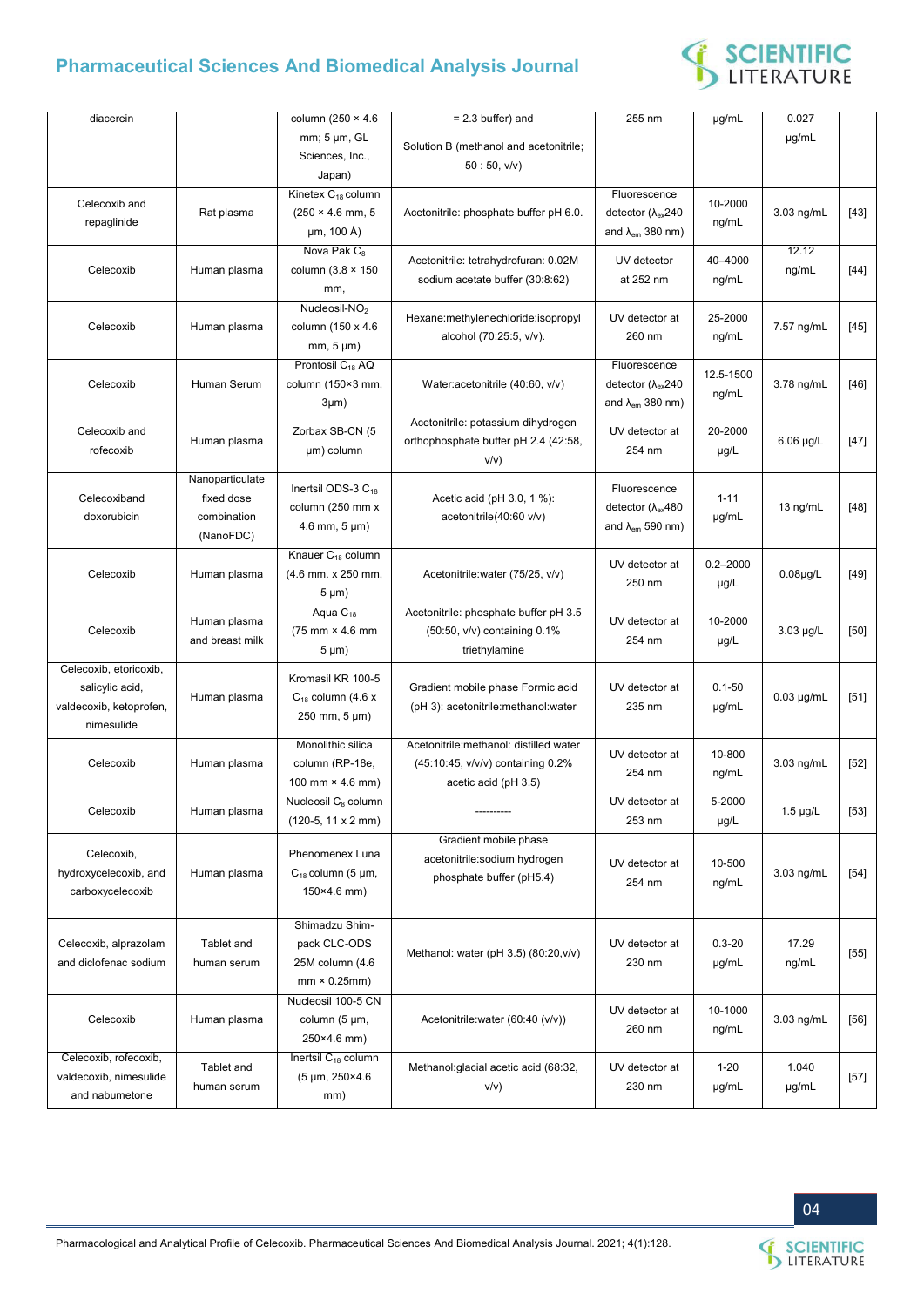

| diacerein               |                 | column (250 $\times$ 4.6          | $= 2.3$ buffer) and                    | 255 nm                                 | µg/mL        | 0.027           |        |
|-------------------------|-----------------|-----------------------------------|----------------------------------------|----------------------------------------|--------------|-----------------|--------|
|                         |                 | mm; 5 µm, GL                      |                                        |                                        |              | µg/mL           |        |
|                         |                 | Sciences, Inc.,                   | Solution B (methanol and acetonitrile; |                                        |              |                 |        |
|                         |                 | Japan)                            | 50:50, v/v)                            |                                        |              |                 |        |
|                         |                 | Kinetex C <sub>18</sub> column    |                                        | Fluorescence                           |              |                 |        |
| Celecoxib and           | Rat plasma      | $(250 \times 4.6 \text{ mm}, 5)$  | Acetonitrile: phosphate buffer pH 6.0. | detector ( $\lambda$ <sub>ex</sub> 240 | 10-2000      | 3.03 ng/mL      | $[43]$ |
| repaglinide             |                 |                                   |                                        |                                        | ng/mL        |                 |        |
|                         |                 | µm, 100 Å)                        |                                        | and $\lambda_{em}$ 380 nm)             |              |                 |        |
|                         |                 | Nova Pak C <sub>8</sub>           | Acetonitrile: tetrahydrofuran: 0.02M   | UV detector                            | 40-4000      | 12.12           |        |
| Celecoxib               | Human plasma    | column $(3.8 \times 150)$         | sodium acetate buffer (30:8:62)        | at 252 nm                              | ng/mL        | ng/mL           | $[44]$ |
|                         |                 | mm,                               |                                        |                                        |              |                 |        |
|                         |                 | Nucleosil-NO <sub>2</sub>         |                                        |                                        |              |                 |        |
| Celecoxib               | Human plasma    | column (150 x 4.6                 | Hexane:methylenechloride:isopropyl     | UV detector at                         | 25-2000      | 7.57 ng/mL      | $[45]$ |
|                         |                 | $mm, 5 \mu m)$                    | alcohol (70:25:5, v/v).                | 260 nm                                 | ng/mL        |                 |        |
|                         |                 | Prontosil C <sub>18</sub> AQ      |                                        | Fluorescence                           |              |                 |        |
| Celecoxib               | Human Serum     | column (150×3 mm,                 | Water: acetonitrile (40:60, v/v)       | detector ( $\lambda$ <sub>ex</sub> 240 | 12.5-1500    | 3.78 ng/mL      | $[46]$ |
|                         |                 |                                   |                                        |                                        | ng/mL        |                 |        |
|                         |                 | 3µm)                              |                                        | and $\lambda_{em}$ 380 nm)             |              |                 |        |
| Celecoxib and           |                 | Zorbax SB-CN (5                   | Acetonitrile: potassium dihydrogen     | UV detector at                         | 20-2000      |                 |        |
| rofecoxib               | Human plasma    | µm) column                        | orthophosphate buffer pH 2.4 (42:58,   | 254 nm                                 | $\mu$ g/L    | $6.06 \mu g/L$  | $[47]$ |
|                         |                 |                                   | v/v)                                   |                                        |              |                 |        |
|                         | Nanoparticulate |                                   |                                        | Fluorescence                           |              |                 |        |
| Celecoxiband            | fixed dose      | Inertsil ODS-3 $C_{18}$           | Acetic acid (pH 3.0, 1 %):             |                                        | $1 - 11$     |                 |        |
| doxorubicin             | combination     | column (250 mm x                  | acetonitrile(40:60 v/v)                | detector ( $\lambda$ <sub>ex</sub> 480 | µg/mL        | 13 $ng/mL$      | $[48]$ |
|                         | (NanoFDC)       | $4.6$ mm, $5 \mu m$ )             |                                        | and $\lambda_{em}$ 590 nm)             |              |                 |        |
|                         |                 | Knauer C <sub>18</sub> column     |                                        |                                        |              |                 |        |
| Celecoxib               | Human plasma    |                                   | Acetonitrile: water (75/25, v/v)       | UV detector at                         | $0.2 - 2000$ |                 |        |
|                         |                 | (4.6 mm. x 250 mm,                |                                        | 250 nm                                 | $\mu$ g/L    | $0.08\mu g/L$   | $[49]$ |
|                         |                 | $5 \mu m$ )                       |                                        |                                        |              |                 |        |
|                         | Human plasma    | Aqua $C_{18}$                     | Acetonitrile: phosphate buffer pH 3.5  | UV detector at                         | 10-2000      |                 |        |
| Celecoxib               | and breast milk | (75 mm × 4.6 mm                   | (50:50, v/v) containing 0.1%           | 254 nm                                 | $\mu$ g/L    | 3.03 µg/L       | $[50]$ |
|                         |                 | $5 \mu m$ )                       | triethylamine                          |                                        |              |                 |        |
| Celecoxib, etoricoxib,  |                 |                                   |                                        |                                        |              |                 |        |
| salicylic acid,         |                 | Kromasil KR 100-5                 | Gradient mobile phase Formic acid      | UV detector at                         | $0.1 - 50$   |                 |        |
| valdecoxib, ketoprofen, | Human plasma    | $C_{18}$ column (4.6 x            | (pH 3): acetonitrile: methanol: water  | 235 nm                                 | µg/mL        | $0.03 \mu g/mL$ | $[51]$ |
| nimesulide              |                 | 250 mm, 5 µm)                     |                                        |                                        |              |                 |        |
|                         |                 | Monolithic silica                 | Acetonitrile:methanol: distilled water |                                        |              |                 |        |
| Celecoxib               | Human plasma    | column (RP-18e,                   | (45:10:45, v/v/v) containing 0.2%      | UV detector at                         | 10-800       | 3.03 ng/mL      | $[52]$ |
|                         |                 |                                   |                                        | 254 nm                                 | ng/mL        |                 |        |
|                         |                 | 100 mm $\times$ 4.6 mm)           | acetic acid (pH 3.5)                   |                                        |              |                 |        |
| Celecoxib               | Human plasma    | Nucleosil C <sub>8</sub> column   |                                        | UV detector at                         | $5 - 2000$   | $1.5 \mu g/L$   | $[53]$ |
|                         |                 | $(120-5, 11 \times 2 \text{ mm})$ |                                        | 253 nm                                 | $\mu$ g/L    |                 |        |
|                         |                 |                                   | Gradient mobile phase                  |                                        |              |                 |        |
| Celecoxib,              |                 | Phenomenex Luna                   | acetonitrile:sodium hydrogen           | UV detector at                         | 10-500       |                 |        |
| hydroxycelecoxib, and   | Human plasma    | $C_{18}$ column (5 µm,            | phosphate buffer (pH5.4)               | 254 nm                                 | ng/mL        | 3.03 ng/mL      | $[54]$ |
| carboxycelecoxib        |                 | $150 \times 4.6$ mm)              |                                        |                                        |              |                 |        |
|                         |                 |                                   |                                        |                                        |              |                 |        |
|                         |                 | Shimadzu Shim-                    |                                        |                                        |              |                 |        |
| Celecoxib, alprazolam   | Tablet and      | pack CLC-ODS                      | Methanol: water (pH 3.5) (80:20, v/v)  | UV detector at                         | $0.3 - 20$   | 17.29           | $[55]$ |
| and diclofenac sodium   | human serum     | 25M column (4.6                   |                                        | 230 nm                                 | µg/mL        | ng/mL           |        |
|                         |                 | $mm \times 0.25mm)$               |                                        |                                        |              |                 |        |
|                         |                 | Nucleosil 100-5 CN                |                                        |                                        |              |                 |        |
| Celecoxib               | Human plasma    | column (5 µm,                     | Acetonitrile: water (60:40 (v/v))      | UV detector at                         | 10-1000      | 3.03 ng/mL      | $[56]$ |
|                         |                 | 250×4.6 mm)                       |                                        | 260 nm                                 | ng/mL        |                 |        |
| Celecoxib, rofecoxib,   |                 | Inertsil C <sub>18</sub> column   |                                        |                                        |              |                 |        |
|                         | Tablet and      | $(5 \mu m, 250 \times 4.6)$       | Methanol: glacial acetic acid (68:32,  | UV detector at                         | $1 - 20$     | 1.040           |        |
| valdecoxib, nimesulide  | human serum     |                                   | V/V)                                   | 230 nm                                 | µg/mL        | µg/mL           | $[57]$ |
| and nabumetone          |                 | mm)                               |                                        |                                        |              |                 |        |

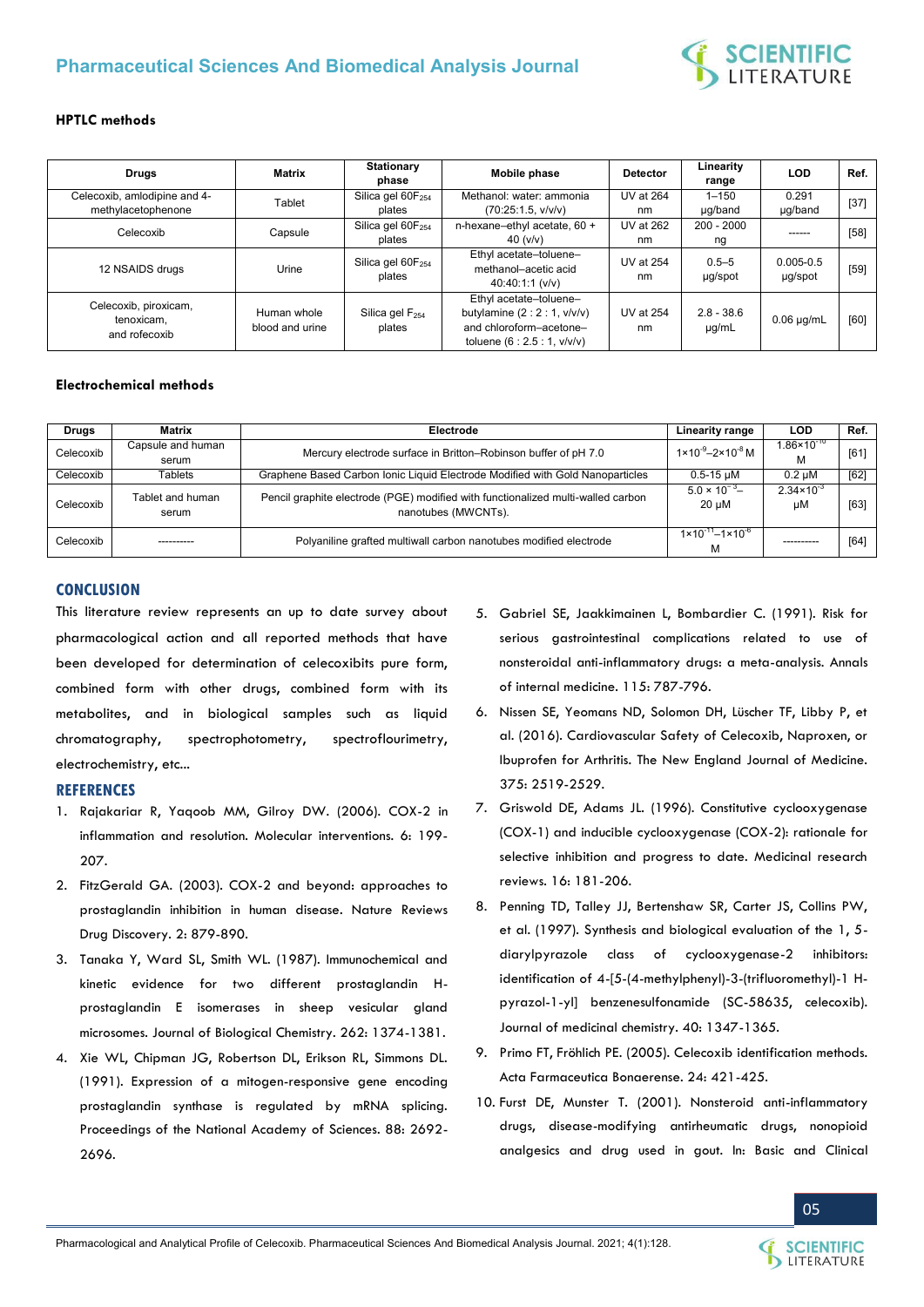

#### **HPTLC methods**

| <b>Drugs</b>                                         | Matrix                         | Stationary<br>phase                     | Mobile phase                                                                                                   | <b>Detector</b>        | Linearity<br>range         | LOD.                     | Ref.   |
|------------------------------------------------------|--------------------------------|-----------------------------------------|----------------------------------------------------------------------------------------------------------------|------------------------|----------------------------|--------------------------|--------|
| Celecoxib, amlodipine and 4-<br>methylacetophenone   | Tablet                         | Silica gel 60F <sub>254</sub><br>plates | Methanol: water: ammonia<br>(70:25:1.5, v/v/v)                                                                 | <b>UV at 264</b><br>nm | $1 - 150$<br>µg/band       | 0.291<br>µg/band         | $[37]$ |
| Celecoxib                                            | Capsule                        | Silica gel 60F <sub>254</sub><br>plates | n-hexane-ethyl acetate, $60 +$<br>40 (v/v)                                                                     | UV at 262<br>nm        | $200 - 2000$<br>ng         |                          | $[58]$ |
| 12 NSAIDS drugs                                      | Urine                          | Silica gel $60F_{254}$<br>plates        | Ethyl acetate-toluene-<br>methanol-acetic acid<br>40:40:1:1 (v/v)                                              | <b>UV at 254</b><br>nm | $0.5 - 5$<br>µg/spot       | $0.005 - 0.5$<br>µg/spot | $[59]$ |
| Celecoxib, piroxicam,<br>tenoxicam.<br>and rofecoxib | Human whole<br>blood and urine | Silica gel $F_{254}$<br>plates          | Ethyl acetate-toluene-<br>butylamine $(2:2:1, v/v/v)$<br>and chloroform-acetone-<br>toluene $(6:2.5:1, v/v/v)$ | <b>UV at 254</b><br>nm | $2.8 - 38.6$<br>$\mu$ g/mL | $0.06 \mu q/mL$          | [60]   |

#### **Electrochemical methods**

| <b>Drugs</b> | Matrix                     | Electrode                                                                                               | Linearity range                             | LOD                         | Ref. |
|--------------|----------------------------|---------------------------------------------------------------------------------------------------------|---------------------------------------------|-----------------------------|------|
| Celecoxib    | Capsule and human<br>serum | Mercury electrode surface in Britton-Robinson buffer of pH 7.0                                          | $1 \times 10^{-9} - 2 \times 10^{-8}$ M     | $1.86 \times 10^{-10}$      | [61] |
| Celecoxib    | Tablets                    | Graphene Based Carbon Ionic Liquid Electrode Modified with Gold Nanoparticles                           | $0.5 - 15 \mu M$                            | $0.2 \mu M$                 | [62] |
| Celecoxib    | Tablet and human<br>serum  | Pencil graphite electrode (PGE) modified with functionalized multi-walled carbon<br>nanotubes (MWCNTs). | $5.0 \times 10^{-3}$<br>$20 \mu M$          | $2.34 \times 10^{-3}$<br>μM | [63] |
| Celecoxib    |                            | Polyaniline grafted multiwall carbon nanotubes modified electrode                                       | $1 \times 10^{-11} - 1 \times 10^{-6}$<br>м |                             | [64] |

#### **CONCLUSION**

This literature review represents an up to date survey about pharmacological action and all reported methods that have been developed for determination of celecoxibits pure form, combined form with other drugs, combined form with its metabolites, and in biological samples such as liquid chromatography, spectrophotometry, spectroflourimetry, electrochemistry, etc...

#### **REFERENCES**

- 1. [Rajakariar R, Yaqoob MM, Gilroy DW. \(2006\). COX-2 in](https://pubmed.ncbi.nlm.nih.gov/16960142/)  [inflammation and resolution. Molecular interventions. 6: 199-](https://pubmed.ncbi.nlm.nih.gov/16960142/) [207.](https://pubmed.ncbi.nlm.nih.gov/16960142/)
- 2. [FitzGerald GA. \(2003\). COX-2 and beyond: approaches to](https://pubmed.ncbi.nlm.nih.gov/14668809/) [prostaglandin inhibition in human disease. Nature Reviews](https://pubmed.ncbi.nlm.nih.gov/14668809/)  [Drug Discovery. 2: 879-890.](https://pubmed.ncbi.nlm.nih.gov/14668809/)
- 3. [Tanaka Y, Ward SL, Smith WL. \(1987\). Immunochemical and](https://www.sciencedirect.com/science/article/pii/S0021925819757962)  [kinetic evidence for two different prostaglandin H](https://www.sciencedirect.com/science/article/pii/S0021925819757962)[prostaglandin E isomerases in sheep vesicular gland](https://www.sciencedirect.com/science/article/pii/S0021925819757962)  [microsomes. Journal of Biological Chemistry. 262: 1374-1381.](https://www.sciencedirect.com/science/article/pii/S0021925819757962)
- 4. [Xie WL, Chipman JG, Robertson DL, Erikson RL, Simmons DL.](https://www.pnas.org/content/88/7/2692)  [\(1991\). Expression of a mitogen-responsive gene encoding](https://www.pnas.org/content/88/7/2692)  [prostaglandin synthase is regulated by mRNA splicing.](https://www.pnas.org/content/88/7/2692)  [Proceedings of the National Academy of Sciences. 88: 2692-](https://www.pnas.org/content/88/7/2692) [2696.](https://www.pnas.org/content/88/7/2692)
- 5. [Gabriel SE, Jaakkimainen L, Bombardier C. \(1991\). Risk for](https://www.acpjournals.org/doi/10.7326/0003-4819-115-10-787)  [serious gastrointestinal complications related to use of](https://www.acpjournals.org/doi/10.7326/0003-4819-115-10-787)  [nonsteroidal anti-inflammatory drugs: a meta-analysis. Annals](https://www.acpjournals.org/doi/10.7326/0003-4819-115-10-787)  [of internal medicine. 115: 787-796.](https://www.acpjournals.org/doi/10.7326/0003-4819-115-10-787)
- 6. [Nissen SE, Yeomans ND, Solomon DH, Lüscher TF, Libby P, et](https://www.nejm.org/doi/full/10.1056/nejmoa1611593)  [al. \(2016\). Cardiovascular Safety of Celecoxib, Naproxen, or](https://www.nejm.org/doi/full/10.1056/nejmoa1611593)  [Ibuprofen for Arthritis. The New England Journal of Medicine.](https://www.nejm.org/doi/full/10.1056/nejmoa1611593)  [375: 2519-2529.](https://www.nejm.org/doi/full/10.1056/nejmoa1611593)
- 7. [Griswold DE, Adams JL. \(1996\). Constitutive cyclooxygenase](https://pubmed.ncbi.nlm.nih.gov/8656779/)  [\(COX-1\) and inducible cyclooxygenase \(COX-2\): rationale for](https://pubmed.ncbi.nlm.nih.gov/8656779/)  [selective inhibition and progress to date. Medicinal research](https://pubmed.ncbi.nlm.nih.gov/8656779/)  [reviews. 16: 181-206.](https://pubmed.ncbi.nlm.nih.gov/8656779/)
- 8. [Penning TD, Talley JJ, Bertenshaw SR, Carter JS, Collins PW,](https://pubmed.ncbi.nlm.nih.gov/9135032/)  [et al. \(1997\). Synthesis and biological evaluation of the 1, 5](https://pubmed.ncbi.nlm.nih.gov/9135032/) [diarylpyrazole class of cyclooxygenase-2 inhibitors:](https://pubmed.ncbi.nlm.nih.gov/9135032/)  [identification of 4-\[5-\(4-methylphenyl\)-3-\(trifluoromethyl\)-1 H](https://pubmed.ncbi.nlm.nih.gov/9135032/)[pyrazol-1-yl\] benzenesulfonamide \(SC-58635, celecoxib\).](https://pubmed.ncbi.nlm.nih.gov/9135032/)  [Journal of medicinal chemistry. 40: 1347-1365.](https://pubmed.ncbi.nlm.nih.gov/9135032/)
- 9. [Primo FT, Fröhlich PE. \(2005\). Celecoxib identification methods.](http://www.latamjpharm.org/trabajos/24/3/LAJOP_24_3_3_4_QOI2M97UFV.pdf)  [Acta Farmaceutica Bonaerense. 24: 421-425.](http://www.latamjpharm.org/trabajos/24/3/LAJOP_24_3_3_4_QOI2M97UFV.pdf)
- 10. Furst DE, Munster T. (2001). Nonsteroid anti-inflammatory drugs, disease-modifying antirheumatic drugs, nonopioid analgesics and drug used in gout. In: Basic and Clinical

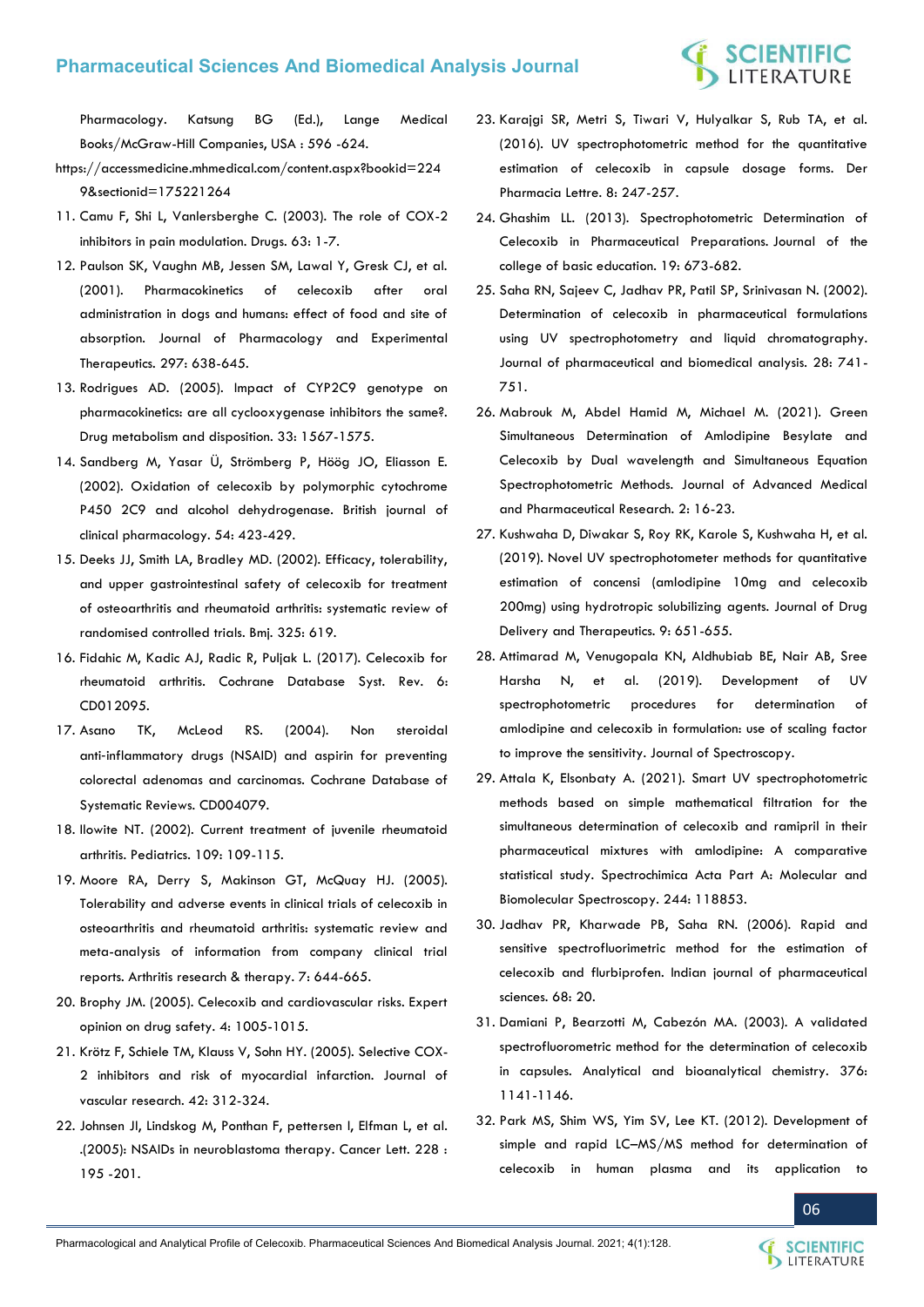# **SCIENTIFIC**<br>LITERATURE

Pharmacology. Katsung BG (Ed.), Lange Medical Books/McGraw-Hill Companies, USA : 596 -624.

- https://accessmedicine.mhmedical.com/content.aspx?bookid=224 9&sectionid=175221264
- 11. [Camu F, Shi L, Vanlersberghe C. \(2003\). The role of COX-2](https://pubmed.ncbi.nlm.nih.gov/14506906/)  [inhibitors in pain modulation. Drugs. 63: 1-7.](https://pubmed.ncbi.nlm.nih.gov/14506906/)
- 12. [Paulson SK, Vaughn MB, Jessen SM, Lawal Y, Gresk CJ, et al.](https://pubmed.ncbi.nlm.nih.gov/11303053/)  [\(2001\). Pharmacokinetics of celecoxib after oral](https://pubmed.ncbi.nlm.nih.gov/11303053/)  [administration in dogs and humans: effect of food and site of](https://pubmed.ncbi.nlm.nih.gov/11303053/)  [absorption. Journal of Pharmacology and Experimental](https://pubmed.ncbi.nlm.nih.gov/11303053/)  [Therapeutics. 297: 638-645.](https://pubmed.ncbi.nlm.nih.gov/11303053/)
- 13. [Rodrigues AD. \(2005\). Impact of CYP2C9 genotype on](https://pubmed.ncbi.nlm.nih.gov/16118328/)  [pharmacokinetics: are all cyclooxygenase inhibitors the same?.](https://pubmed.ncbi.nlm.nih.gov/16118328/)  [Drug metabolism and disposition. 33: 1567-1575.](https://pubmed.ncbi.nlm.nih.gov/16118328/)
- 14. [Sandberg M, Yasar Ü, Strömberg P, Höög JO, Eliasson E.](https://www.ncbi.nlm.nih.gov/pmc/articles/PMC1874434/) [\(2002\). Oxidation of celecoxib by polymorphic cytochrome](https://www.ncbi.nlm.nih.gov/pmc/articles/PMC1874434/)  [P450 2C9 and alcohol dehydrogenase. British journal of](https://www.ncbi.nlm.nih.gov/pmc/articles/PMC1874434/)  [clinical pharmacology. 54: 423-429.](https://www.ncbi.nlm.nih.gov/pmc/articles/PMC1874434/)
- 15. [Deeks JJ, Smith LA, Bradley MD. \(2002\). Efficacy, tolerability,](https://www.ncbi.nlm.nih.gov/pmc/articles/PMC126301/)  [and upper gastrointestinal safety of celecoxib for treatment](https://www.ncbi.nlm.nih.gov/pmc/articles/PMC126301/)  [of osteoarthritis and rheumatoid arthritis: systematic review of](https://www.ncbi.nlm.nih.gov/pmc/articles/PMC126301/)  [randomised controlled trials. Bmj. 325: 619.](https://www.ncbi.nlm.nih.gov/pmc/articles/PMC126301/)
- 16. [Fidahic M, Kadic AJ, Radic R, Puljak L. \(2017\). Celecoxib for](https://pubmed.ncbi.nlm.nih.gov/28597983/)  [rheumatoid arthritis. Cochrane Database Syst. Rev. 6:](https://pubmed.ncbi.nlm.nih.gov/28597983/)  [CD012095.](https://pubmed.ncbi.nlm.nih.gov/28597983/)
- 17. [Asano TK, McLeod RS. \(2004\). Non steroidal](https://pubmed.ncbi.nlm.nih.gov/15106236/)  anti‐[inflammatory drugs \(NSAID\) and aspirin for preventing](https://pubmed.ncbi.nlm.nih.gov/15106236/)  [colorectal adenomas and carcinomas. Cochrane Database of](https://pubmed.ncbi.nlm.nih.gov/15106236/)  [Systematic Reviews. CD004079.](https://pubmed.ncbi.nlm.nih.gov/15106236/)
- 18. [Ilowite NT. \(2002\). Current treatment of juvenile rheumatoid](https://pediatrics.aappublications.org/content/109/1/109)  [arthritis. Pediatrics. 109: 109-115.](https://pediatrics.aappublications.org/content/109/1/109)
- 19. [Moore RA, Derry S, Makinson GT, McQuay HJ. \(2005\).](https://pubmed.ncbi.nlm.nih.gov/15899051/)  [Tolerability and adverse events in clinical trials of celecoxib in](https://pubmed.ncbi.nlm.nih.gov/15899051/)  [osteoarthritis and rheumatoid arthritis: systematic review and](https://pubmed.ncbi.nlm.nih.gov/15899051/)  [meta-analysis of information from company clinical trial](https://pubmed.ncbi.nlm.nih.gov/15899051/)  [reports. Arthritis research & therapy. 7: 644-665.](https://pubmed.ncbi.nlm.nih.gov/15899051/)
- 20. [Brophy JM. \(2005\). Celecoxib and cardiovascular risks. Expert](https://pubmed.ncbi.nlm.nih.gov/16255660/)  [opinion on drug safety. 4: 1005-1015.](https://pubmed.ncbi.nlm.nih.gov/16255660/)
- 21. [Krötz F, Schiele TM, Klauss V, Sohn HY. \(2005\). Selective COX-](https://pubmed.ncbi.nlm.nih.gov/15976506/)[2 inhibitors and risk of myocardial infarction. Journal of](https://pubmed.ncbi.nlm.nih.gov/15976506/)  [vascular research. 42: 312-324.](https://pubmed.ncbi.nlm.nih.gov/15976506/)
- 22. [Johnsen JI, Lindskog M, Ponthan F, pettersen I, Elfman L, et al.](https://www.sciencedirect.com/science/article/abs/pii/S0304383505003356?via%3Dihub)  [.\(2005\): NSAIDs in neuroblastoma therapy. Cancer Lett. 228 :](https://www.sciencedirect.com/science/article/abs/pii/S0304383505003356?via%3Dihub)  [195 -201.](https://www.sciencedirect.com/science/article/abs/pii/S0304383505003356?via%3Dihub)
- 23. [Karajgi SR, Metri S, Tiwari V, Hulyalkar S, Rub TA, et al.](https://www.scholarsresearchlibrary.com/articles/uv-spectrophotometric-method-for-the-quantitative-estimation-of-celecoxib-in-capsule-dosage-forms.pdf)  [\(2016\). UV spectrophotometric method for the quantitative](https://www.scholarsresearchlibrary.com/articles/uv-spectrophotometric-method-for-the-quantitative-estimation-of-celecoxib-in-capsule-dosage-forms.pdf)  [estimation of celecoxib in capsule dosage forms. Der](https://www.scholarsresearchlibrary.com/articles/uv-spectrophotometric-method-for-the-quantitative-estimation-of-celecoxib-in-capsule-dosage-forms.pdf)  [Pharmacia Lettre. 8: 247-257.](https://www.scholarsresearchlibrary.com/articles/uv-spectrophotometric-method-for-the-quantitative-estimation-of-celecoxib-in-capsule-dosage-forms.pdf)
- 24. Ghashim LL. (2013). Spectrophotometric Determination of Celecoxib in Pharmaceutical Preparations. Journal of the college of basic education. 19: 673-682.
- 25. [Saha RN, Sajeev C, Jadhav PR, Patil SP, Srinivasan N. \(2002\).](https://www.sciencedirect.com/science/article/abs/pii/S0731708501006781)  [Determination of celecoxib in pharmaceutical formulations](https://www.sciencedirect.com/science/article/abs/pii/S0731708501006781)  [using UV spectrophotometry and liquid chromatography.](https://www.sciencedirect.com/science/article/abs/pii/S0731708501006781)  [Journal of pharmaceutical and biomedical analysis. 28: 741-](https://www.sciencedirect.com/science/article/abs/pii/S0731708501006781) [751.](https://www.sciencedirect.com/science/article/abs/pii/S0731708501006781)
- 26. [Mabrouk M, Abdel Hamid M, Michael M. \(2021\). Green](https://jampr.journals.ekb.eg/article_151799.html)  [Simultaneous Determination of Amlodipine Besylate and](https://jampr.journals.ekb.eg/article_151799.html)  [Celecoxib by Dual wavelength and Simultaneous Equation](https://jampr.journals.ekb.eg/article_151799.html)  [Spectrophotometric Methods. Journal of Advanced Medical](https://jampr.journals.ekb.eg/article_151799.html)  [and Pharmaceutical Research. 2: 16-23.](https://jampr.journals.ekb.eg/article_151799.html)
- 27. [Kushwaha D, Diwakar S, Roy RK, Karole S, Kushwaha H, et al.](http://jddtonline.info/index.php/jddt/article/view/3546)  [\(2019\). Novel UV spectrophotometer methods for quantitative](http://jddtonline.info/index.php/jddt/article/view/3546)  [estimation of concensi \(amlodipine 10mg and celecoxib](http://jddtonline.info/index.php/jddt/article/view/3546)  [200mg\) using hydrotropic solubilizing agents. Journal of Drug](http://jddtonline.info/index.php/jddt/article/view/3546)  [Delivery and Therapeutics. 9: 651-655.](http://jddtonline.info/index.php/jddt/article/view/3546)
- 28. [Attimarad M, Venugopala KN, Aldhubiab BE, Nair AB, Sree](https://www.hindawi.com/journals/jspec/2019/8202160/)  [Harsha N, et al. \(2019\). Development of UV](https://www.hindawi.com/journals/jspec/2019/8202160/)  [spectrophotometric procedures for determination of](https://www.hindawi.com/journals/jspec/2019/8202160/)  [amlodipine and celecoxib in formulation: use of scaling factor](https://www.hindawi.com/journals/jspec/2019/8202160/)  [to improve the sensitivity. Journal of Spectroscopy.](https://www.hindawi.com/journals/jspec/2019/8202160/)
- 29. [Attala K, Elsonbaty A. \(2021\). Smart UV spectrophotometric](https://pubmed.ncbi.nlm.nih.gov/32882657/)  [methods based on simple mathematical filtration for the](https://pubmed.ncbi.nlm.nih.gov/32882657/)  [simultaneous determination of celecoxib and ramipril in their](https://pubmed.ncbi.nlm.nih.gov/32882657/)  [pharmaceutical mixtures with amlodipine: A comparative](https://pubmed.ncbi.nlm.nih.gov/32882657/)  [statistical study. Spectrochimica Acta Part A: Molecular and](https://pubmed.ncbi.nlm.nih.gov/32882657/)  [Biomolecular Spectroscopy. 244: 118853.](https://pubmed.ncbi.nlm.nih.gov/32882657/)
- 30. [Jadhav PR, Kharwade PB, Saha RN. \(2006\). Rapid and](https://www.ijpsonline.com/articles/rapid-and-sensitive-spectrofluorimetric-method-for-the-estimation-of-celecoxib-and-flurbiprofen.html)  [sensitive spectrofluorimetric method for the estimation of](https://www.ijpsonline.com/articles/rapid-and-sensitive-spectrofluorimetric-method-for-the-estimation-of-celecoxib-and-flurbiprofen.html)  [celecoxib and flurbiprofen. Indian journal of pharmaceutical](https://www.ijpsonline.com/articles/rapid-and-sensitive-spectrofluorimetric-method-for-the-estimation-of-celecoxib-and-flurbiprofen.html)  [sciences. 68: 20.](https://www.ijpsonline.com/articles/rapid-and-sensitive-spectrofluorimetric-method-for-the-estimation-of-celecoxib-and-flurbiprofen.html)
- 31. [Damiani P, Bearzotti M, Cabezón MA. \(2003\). A validated](https://link.springer.com/article/10.1007/s00216-003-1975-1)  [spectrofluorometric method for the determination of celecoxib](https://link.springer.com/article/10.1007/s00216-003-1975-1)  [in capsules. Analytical and bioanalytical chemistry. 376:](https://link.springer.com/article/10.1007/s00216-003-1975-1)  [1141-1146.](https://link.springer.com/article/10.1007/s00216-003-1975-1)
- 32. [Park MS, Shim WS, Yim SV, Lee KT. \(2012\). Development of](https://pubmed.ncbi.nlm.nih.gov/22771234/)  simple and rapid LC–[MS/MS method for determination of](https://pubmed.ncbi.nlm.nih.gov/22771234/)  [celecoxib in human plasma and its application to](https://pubmed.ncbi.nlm.nih.gov/22771234/)

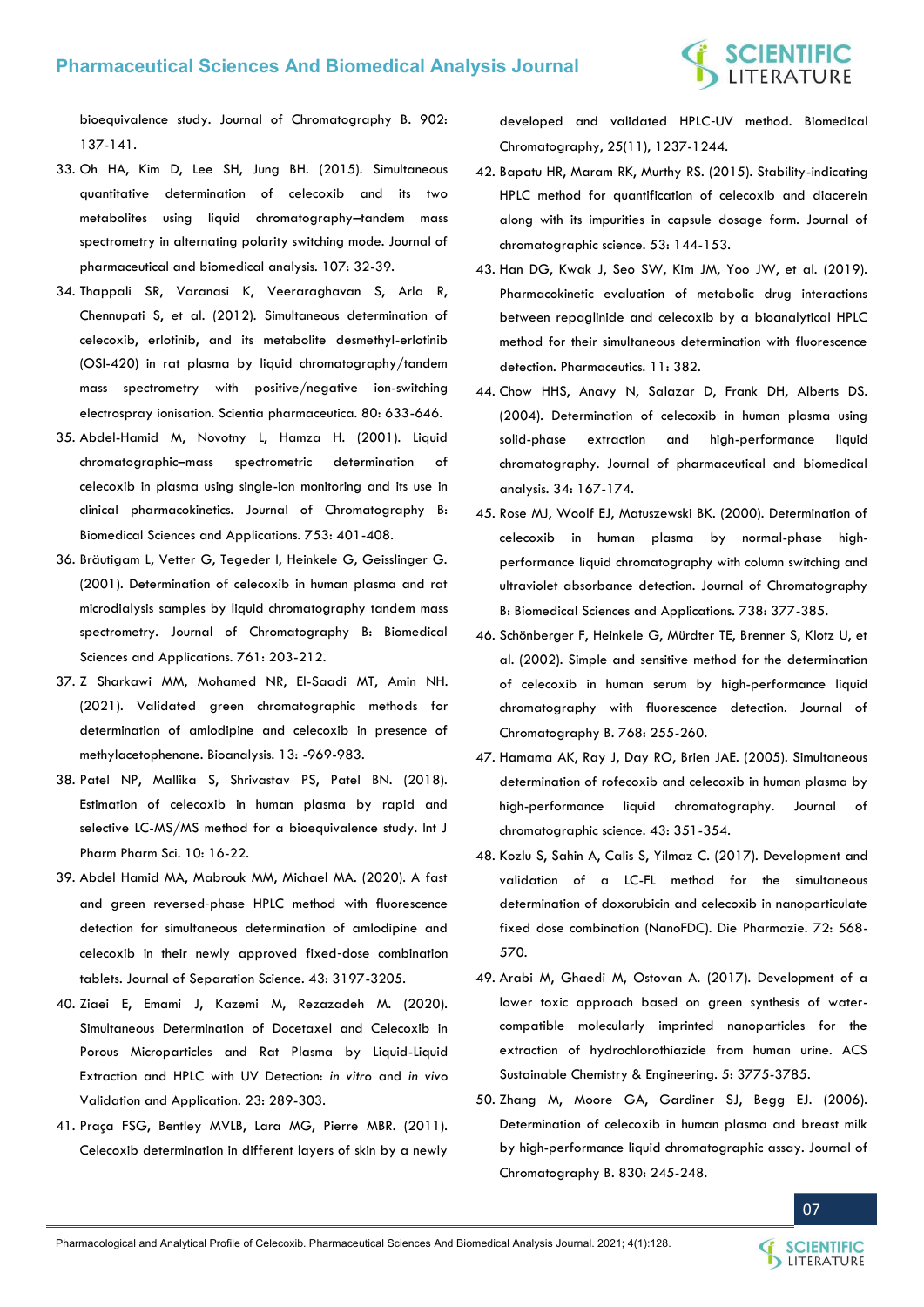[bioequivalence study. Journal of Chromatography B. 902:](https://pubmed.ncbi.nlm.nih.gov/22771234/)  [137-141.](https://pubmed.ncbi.nlm.nih.gov/22771234/)

- 33. [Oh HA, Kim D, Lee SH, Jung BH. \(2015\). Simultaneous](https://pubmed.ncbi.nlm.nih.gov/25575170/)  [quantitative determination of celecoxib and its two](https://pubmed.ncbi.nlm.nih.gov/25575170/) [metabolites using liquid chromatography](https://pubmed.ncbi.nlm.nih.gov/25575170/)–tandem mass [spectrometry in alternating polarity switching mode. Journal of](https://pubmed.ncbi.nlm.nih.gov/25575170/)  [pharmaceutical and biomedical analysis. 107: 32-39.](https://pubmed.ncbi.nlm.nih.gov/25575170/)
- 34. [Thappali SR, Varanasi K, Veeraraghavan S, Arla R,](https://pubmed.ncbi.nlm.nih.gov/23008811/)  [Chennupati S, et al. \(2012\). Simultaneous determination of](https://pubmed.ncbi.nlm.nih.gov/23008811/)  [celecoxib, erlotinib, and its metabolite desmethyl-erlotinib](https://pubmed.ncbi.nlm.nih.gov/23008811/)  [\(OSI-420\) in rat plasma by liquid chromatography/tandem](https://pubmed.ncbi.nlm.nih.gov/23008811/)  [mass spectrometry with positive/negative ion-switching](https://pubmed.ncbi.nlm.nih.gov/23008811/)  [electrospray ionisation. Scientia pharmaceutica. 80: 633-646.](https://pubmed.ncbi.nlm.nih.gov/23008811/)
- 35. [Abdel-Hamid M, Novotny L, Hamza H. \(2001\). Liquid](https://www.sciencedirect.com/science/article/abs/pii/S0378434700005740)  chromatographic–[mass spectrometric determination of](https://www.sciencedirect.com/science/article/abs/pii/S0378434700005740)  [celecoxib in plasma using single-ion monitoring and its use in](https://www.sciencedirect.com/science/article/abs/pii/S0378434700005740)  [clinical pharmacokinetics. Journal of Chromatography B:](https://www.sciencedirect.com/science/article/abs/pii/S0378434700005740)  [Biomedical Sciences and Applications. 753: 401-408.](https://www.sciencedirect.com/science/article/abs/pii/S0378434700005740)
- 36. [Bräutigam L, Vetter G, Tegeder I, Heinkele G, Geisslinger G.](https://pubmed.ncbi.nlm.nih.gov/11587350/)  [\(2001\). Determination of celecoxib in human plasma and rat](https://pubmed.ncbi.nlm.nih.gov/11587350/)  [microdialysis samples by liquid chromatography tandem mass](https://pubmed.ncbi.nlm.nih.gov/11587350/)  [spectrometry. Journal of Chromatography B: Biomedical](https://pubmed.ncbi.nlm.nih.gov/11587350/)  [Sciences and Applications. 761: 203-212.](https://pubmed.ncbi.nlm.nih.gov/11587350/)
- 37. [Z Sharkawi MM, Mohamed NR, El-Saadi MT, Amin NH.](https://pubmed.ncbi.nlm.nih.gov/34085866/)  [\(2021\). Validated green chromatographic methods for](https://pubmed.ncbi.nlm.nih.gov/34085866/) [determination of amlodipine and celecoxib in presence of](https://pubmed.ncbi.nlm.nih.gov/34085866/)  [methylacetophenone. Bioanalysis. 13: -969-983.](https://pubmed.ncbi.nlm.nih.gov/34085866/)
- 38. [Patel NP, Mallika S, Shrivastav PS, Patel BN. \(2018\).](https://innovareacademics.in/journals/index.php/ijpps/article/view/28289)  [Estimation of celecoxib in human plasma by rapid and](https://innovareacademics.in/journals/index.php/ijpps/article/view/28289)  selective LC-MS/MS method for a bioequivalence study. Int J [Pharm Pharm Sci. 10: 16-22.](https://innovareacademics.in/journals/index.php/ijpps/article/view/28289)
- 39. [Abdel Hamid MA, Mabrouk MM, Michael MA. \(2020\). A fast](https://pubmed.ncbi.nlm.nih.gov/32506818/)  and green reversed‐[phase HPLC method with fluorescence](https://pubmed.ncbi.nlm.nih.gov/32506818/)  [detection for simultaneous determination of amlodipine and](https://pubmed.ncbi.nlm.nih.gov/32506818/)  [celecoxib in their newly approved fixed](https://pubmed.ncbi.nlm.nih.gov/32506818/)‐dose combination [tablets. Journal of Separation Science. 43: 3197-3205.](https://pubmed.ncbi.nlm.nih.gov/32506818/)
- 40. [Ziaei E, Emami J, Kazemi M, Rezazadeh M. \(2020\).](https://pubmed.ncbi.nlm.nih.gov/32762829/)  [Simultaneous Determination of Docetaxel and Celecoxib in](https://pubmed.ncbi.nlm.nih.gov/32762829/)  [Porous Microparticles and Rat Plasma by Liquid-Liquid](https://pubmed.ncbi.nlm.nih.gov/32762829/) [Extraction and HPLC with UV Detection:](https://pubmed.ncbi.nlm.nih.gov/32762829/) *in vitro* and *in vivo*  [Validation and Application. 23: 289-303.](https://pubmed.ncbi.nlm.nih.gov/32762829/)
- 41. [Praça FSG, Bentley MVLB, Lara MG, Pierre MBR. \(2011\).](https://pubmed.ncbi.nlm.nih.gov/21308703/)  [Celecoxib determination in different layers of skin by a newly](https://pubmed.ncbi.nlm.nih.gov/21308703/)

[developed and validated HPLC](https://pubmed.ncbi.nlm.nih.gov/21308703/)‐UV method. Biomedical [Chromatography, 25\(11\), 1237-1244.](https://pubmed.ncbi.nlm.nih.gov/21308703/)

- 42. [Bapatu HR, Maram RK, Murthy RS. \(2015\). Stability-indicating](https://academic.oup.com/chromsci/article/53/1/144/325980)  [HPLC method for quantification of celecoxib and diacerein](https://academic.oup.com/chromsci/article/53/1/144/325980)  [along with its impurities in capsule dosage form. Journal of](https://academic.oup.com/chromsci/article/53/1/144/325980)  [chromatographic science. 53: 144-153.](https://academic.oup.com/chromsci/article/53/1/144/325980)
- 43. [Han DG, Kwak J, Seo SW, Kim JM, Yoo JW, et al. \(2019\).](https://pubmed.ncbi.nlm.nih.gov/31382371/)  [Pharmacokinetic evaluation of metabolic drug interactions](https://pubmed.ncbi.nlm.nih.gov/31382371/)  [between repaglinide and celecoxib by a bioanalytical HPLC](https://pubmed.ncbi.nlm.nih.gov/31382371/)  [method for their simultaneous determination with fluorescence](https://pubmed.ncbi.nlm.nih.gov/31382371/)  [detection. Pharmaceutics. 11: 382.](https://pubmed.ncbi.nlm.nih.gov/31382371/)
- 44. [Chow HHS, Anavy N, Salazar D, Frank DH, Alberts DS.](https://www.sciencedirect.com/science/article/abs/pii/S0731708503004941) [\(2004\). Determination of celecoxib in human plasma using](https://www.sciencedirect.com/science/article/abs/pii/S0731708503004941)  [solid-phase extraction and high-performance liquid](https://www.sciencedirect.com/science/article/abs/pii/S0731708503004941)  [chromatography. Journal of pharmaceutical and biomedical](https://www.sciencedirect.com/science/article/abs/pii/S0731708503004941)  [analysis. 34: 167-174.](https://www.sciencedirect.com/science/article/abs/pii/S0731708503004941)
- 45. [Rose MJ, Woolf EJ, Matuszewski BK. \(2000\). Determination of](https://pubmed.ncbi.nlm.nih.gov/10718655/)  [celecoxib in human plasma by normal-phase high](https://pubmed.ncbi.nlm.nih.gov/10718655/)[performance liquid chromatography with column switching and](https://pubmed.ncbi.nlm.nih.gov/10718655/)  [ultraviolet absorbance detection. Journal of Chromatography](https://pubmed.ncbi.nlm.nih.gov/10718655/)  [B: Biomedical Sciences and Applications. 738: 377-385.](https://pubmed.ncbi.nlm.nih.gov/10718655/)
- 46. [Schönberger F, Heinkele G, Mürdter TE, Brenner S, Klotz U, et](https://pubmed.ncbi.nlm.nih.gov/11888053/)  [al. \(2002\). Simple and sensitive method for the determination](https://pubmed.ncbi.nlm.nih.gov/11888053/)  [of celecoxib in human serum by high-performance liquid](https://pubmed.ncbi.nlm.nih.gov/11888053/)  [chromatography with fluorescence detection. Journal of](https://pubmed.ncbi.nlm.nih.gov/11888053/)  [Chromatography B. 768: 255-260.](https://pubmed.ncbi.nlm.nih.gov/11888053/)
- 47. [Hamama AK, Ray J, Day RO, Brien JAE. \(2005\). Simultaneous](https://academic.oup.com/chromsci/article/43/7/351/384396)  [determination of rofecoxib and celecoxib in human plasma by](https://academic.oup.com/chromsci/article/43/7/351/384396)  [high-performance liquid chromatography. Journal of](https://academic.oup.com/chromsci/article/43/7/351/384396)  [chromatographic science. 43: 351-354.](https://academic.oup.com/chromsci/article/43/7/351/384396)
- 48. [Kozlu S, Sahin A, Calis S, Yilmaz C. \(2017\). Development and](https://pubmed.ncbi.nlm.nih.gov/29441879/)  [validation of a LC-FL method for the simultaneous](https://pubmed.ncbi.nlm.nih.gov/29441879/)  [determination of doxorubicin and celecoxib in nanoparticulate](https://pubmed.ncbi.nlm.nih.gov/29441879/)  [fixed dose combination \(NanoFDC\). Die Pharmazie. 72: 568-](https://pubmed.ncbi.nlm.nih.gov/29441879/) [570.](https://pubmed.ncbi.nlm.nih.gov/29441879/)
- 49. [Arabi M, Ghaedi M, Ostovan A. \(2017\). Development of a](https://pubs.acs.org/doi/abs/10.1021/acssuschemeng.6b02615)  [lower toxic approach based on green synthesis of water](https://pubs.acs.org/doi/abs/10.1021/acssuschemeng.6b02615)[compatible molecularly imprinted nanoparticles for the](https://pubs.acs.org/doi/abs/10.1021/acssuschemeng.6b02615)  [extraction of hydrochlorothiazide from human urine. ACS](https://pubs.acs.org/doi/abs/10.1021/acssuschemeng.6b02615)  [Sustainable Chemistry & Engineering. 5: 3775-3785.](https://pubs.acs.org/doi/abs/10.1021/acssuschemeng.6b02615)
- 50. [Zhang M, Moore GA, Gardiner SJ, Begg EJ. \(2006\).](https://pubmed.ncbi.nlm.nih.gov/16297669/)  [Determination of celecoxib in human plasma and breast milk](https://pubmed.ncbi.nlm.nih.gov/16297669/)  [by high-performance liquid chromatographic assay. Journal of](https://pubmed.ncbi.nlm.nih.gov/16297669/)  [Chromatography B. 830: 245-248.](https://pubmed.ncbi.nlm.nih.gov/16297669/)